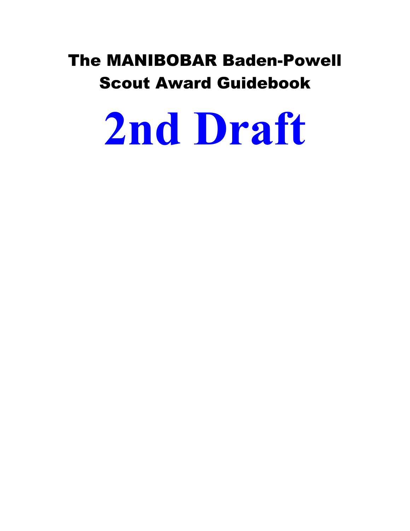# The MANIBOBAR Baden-Powell Scout Award Guidebook

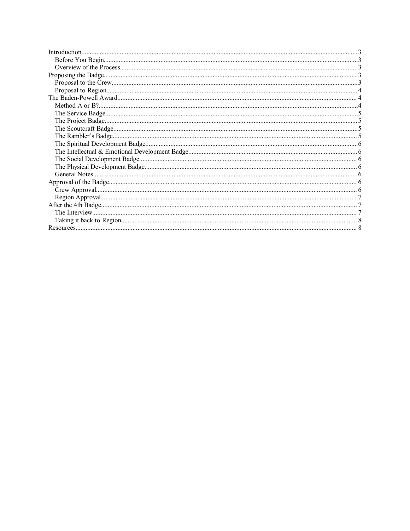| Introduction |  |
|--------------|--|
|              |  |
|              |  |
|              |  |
|              |  |
|              |  |
|              |  |
|              |  |
|              |  |
|              |  |
|              |  |
|              |  |
|              |  |
|              |  |
|              |  |
|              |  |
|              |  |
|              |  |
|              |  |
|              |  |
|              |  |
|              |  |
|              |  |
|              |  |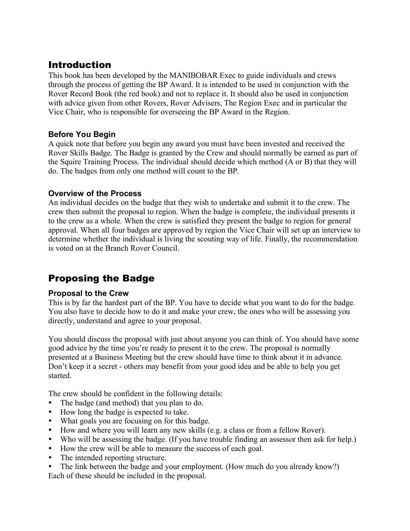## Introduction

This book has been developed by the MANIBOBAR Exec to guide individuals and crews through the process of getting the BP Award. It is intended to be used in conjunction with the Rover Record Book (the red book) and not to replace it. It should also be used in conjunction with advice given from other Rovers, Rover Advisers, The Region Exec and in particular the Vice Chair, who is responsible for overseeing the BP Award in the Region.

#### **Before You Begin**

A quick note that before you begin any award you must have been invested and received the Rover Skills Badge. The Badge is granted by the Crew and should normally be earned as part of the Squire Training Process. The individual should decide which method (A or B) that they will do. The badges from only one method will count to the BP.

#### **Overview of the Process**

An individual decides on the badge that they wish to undertake and submit it to the crew. The crew then submit the proposal to region. When the badge is complete, the individual presents it to the crew as a whole. When the crew is satisfied they present the badge to region for general approval. When all four badges are approved by region the Vice Chair will set up an interview to determine whether the individual is living the scouting way of life. Finally, the recommendation is voted on at the Branch Rover Council.

## Proposing the Badge

#### **Proposal to the Crew**

This is by far the hardest part of the BP. You have to decide what you want to do for the badge. You also have to decide how to do it and make your crew, the ones who will be assessing you directly, understand and agree to your proposal.

You should discuss the proposal with just about anyone you can think of. You should have some good advice by the time you're ready to present it to the crew. The proposal is normally presented at a Business Meeting but the crew should have time to think about it in advance. Don't keep it a secret - others may benefit from your good idea and be able to help you get started.

The crew should be confident in the following details:

- The badge (and method) that you plan to do.
- How long the badge is expected to take.
- What goals you are focusing on for this badge.
- How and where you will learn any new skills (e.g. a class or from a fellow Rover).
- Who will be assessing the badge. (If you have trouble finding an assessor then ask for help.)
- How the crew will be able to measure the success of each goal.
- The intended reporting structure.
- The link between the badge and your employment. (How much do you already know?) Each of these should be included in the proposal.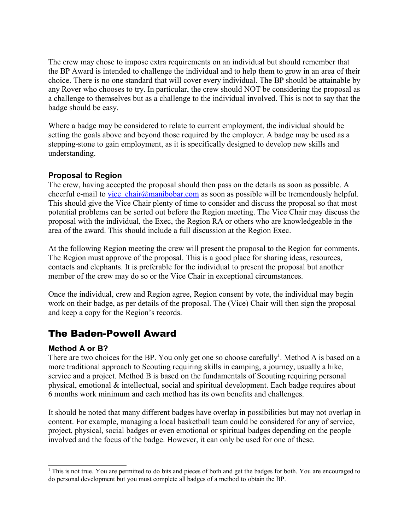The crew may chose to impose extra requirements on an individual but should remember that the BP Award is intended to challenge the individual and to help them to grow in an area of their choice. There is no one standard that will cover every individual. The BP should be attainable by any Rover who chooses to try. In particular, the crew should NOT be considering the proposal as a challenge to themselves but as a challenge to the individual involved. This is not to say that the badge should be easy.

Where a badge may be considered to relate to current employment, the individual should be setting the goals above and beyond those required by the employer. A badge may be used as a stepping-stone to gain employment, as it is specifically designed to develop new skills and understanding.

#### **Proposal to Region**

The crew, having accepted the proposal should then pass on the details as soon as possible. A cheerful e-mail to vice chair@manibobar.com as soon as possible will be tremendously helpful. This should give the Vice Chair plenty of time to consider and discuss the proposal so that most potential problems can be sorted out before the Region meeting. The Vice Chair may discuss the proposal with the individual, the Exec, the Region RA or others who are knowledgeable in the area of the award. This should include a full discussion at the Region Exec.

At the following Region meeting the crew will present the proposal to the Region for comments. The Region must approve of the proposal. This is a good place for sharing ideas, resources, contacts and elephants. It is preferable for the individual to present the proposal but another member of the crew may do so or the Vice Chair in exceptional circumstances.

Once the individual, crew and Region agree, Region consent by vote, the individual may begin work on their badge, as per details of the proposal. The (Vice) Chair will then sign the proposal and keep a copy for the Region's records.

## The Baden-Powell Award

#### **Method A or B?**

There are two choices for the BP. You only get one so choose carefully<sup>1</sup>. Method A is based on a more traditional approach to Scouting requiring skills in camping, a journey, usually a hike, service and a project. Method B is based on the fundamentals of Scouting requiring personal physical, emotional & intellectual, social and spiritual development. Each badge requires about 6 months work minimum and each method has its own benefits and challenges.

It should be noted that many different badges have overlap in possibilities but may not overlap in content. For example, managing a local basketball team could be considered for any of service, project, physical, social badges or even emotional or spiritual badges depending on the people involved and the focus of the badge. However, it can only be used for one of these.

<sup>1</sup> This is not true. You are permitted to do bits and pieces of both and get the badges for both. You are encouraged to do personal development but you must complete all badges of a method to obtain the BP.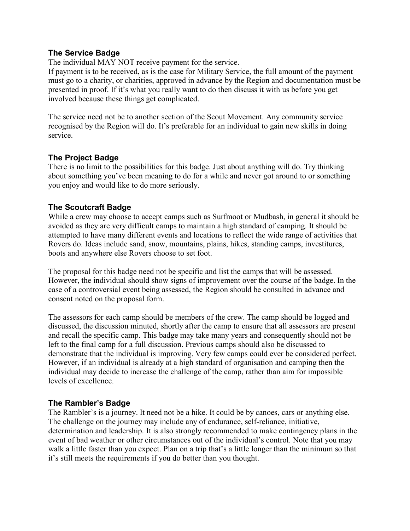#### **The Service Badge**

The individual MAY NOT receive payment for the service.

If payment is to be received, as is the case for Military Service, the full amount of the payment must go to a charity, or charities, approved in advance by the Region and documentation must be presented in proof. If it's what you really want to do then discuss it with us before you get involved because these things get complicated.

The service need not be to another section of the Scout Movement. Any community service recognised by the Region will do. It's preferable for an individual to gain new skills in doing service.

#### **The Project Badge**

There is no limit to the possibilities for this badge. Just about anything will do. Try thinking about something you've been meaning to do for a while and never got around to or something you enjoy and would like to do more seriously.

#### **The Scoutcraft Badge**

While a crew may choose to accept camps such as Surfmoot or Mudbash, in general it should be avoided as they are very difficult camps to maintain a high standard of camping. It should be attempted to have many different events and locations to reflect the wide range of activities that Rovers do. Ideas include sand, snow, mountains, plains, hikes, standing camps, investitures, boots and anywhere else Rovers choose to set foot.

The proposal for this badge need not be specific and list the camps that will be assessed. However, the individual should show signs of improvement over the course of the badge. In the case of a controversial event being assessed, the Region should be consulted in advance and consent noted on the proposal form.

The assessors for each camp should be members of the crew. The camp should be logged and discussed, the discussion minuted, shortly after the camp to ensure that all assessors are present and recall the specific camp. This badge may take many years and consequently should not be left to the final camp for a full discussion. Previous camps should also be discussed to demonstrate that the individual is improving. Very few camps could ever be considered perfect. However, if an individual is already at a high standard of organisation and camping then the individual may decide to increase the challenge of the camp, rather than aim for impossible levels of excellence.

#### **The Rambler's Badge**

The Rambler's is a journey. It need not be a hike. It could be by canoes, cars or anything else. The challenge on the journey may include any of endurance, self-reliance, initiative, determination and leadership. It is also strongly recommended to make contingency plans in the event of bad weather or other circumstances out of the individual's control. Note that you may walk a little faster than you expect. Plan on a trip that's a little longer than the minimum so that it's still meets the requirements if you do better than you thought.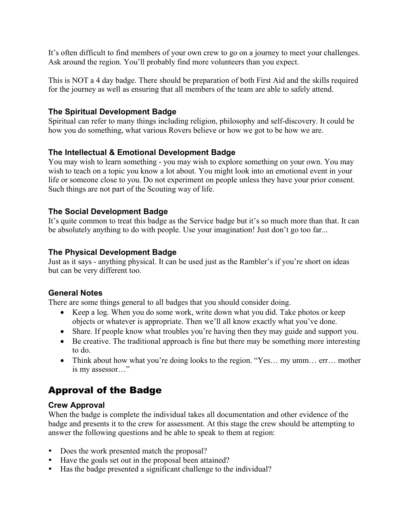It's often difficult to find members of your own crew to go on a journey to meet your challenges. Ask around the region. You'll probably find more volunteers than you expect.

This is NOT a 4 day badge. There should be preparation of both First Aid and the skills required for the journey as well as ensuring that all members of the team are able to safely attend.

#### **The Spiritual Development Badge**

Spiritual can refer to many things including religion, philosophy and self-discovery. It could be how you do something, what various Rovers believe or how we got to be how we are.

#### **The Intellectual & Emotional Development Badge**

You may wish to learn something - you may wish to explore something on your own. You may wish to teach on a topic you know a lot about. You might look into an emotional event in your life or someone close to you. Do not experiment on people unless they have your prior consent. Such things are not part of the Scouting way of life.

#### **The Social Development Badge**

It's quite common to treat this badge as the Service badge but it's so much more than that. It can be absolutely anything to do with people. Use your imagination! Just don't go too far...

#### **The Physical Development Badge**

Just as it says - anything physical. It can be used just as the Rambler's if you're short on ideas but can be very different too.

#### **General Notes**

There are some things general to all badges that you should consider doing.

- Keep a log. When you do some work, write down what you did. Take photos or keep objects or whatever is appropriate. Then we'll all know exactly what you've done.
- Share. If people know what troubles you're having then they may guide and support you.
- Be creative. The traditional approach is fine but there may be something more interesting to do.
- Think about how what you're doing looks to the region. "Yes... my umm... err... mother is my assessor…"

# Approval of the Badge

#### **Crew Approval**

When the badge is complete the individual takes all documentation and other evidence of the badge and presents it to the crew for assessment. At this stage the crew should be attempting to answer the following questions and be able to speak to them at region:

- Does the work presented match the proposal?
- Have the goals set out in the proposal been attained?
- Has the badge presented a significant challenge to the individual?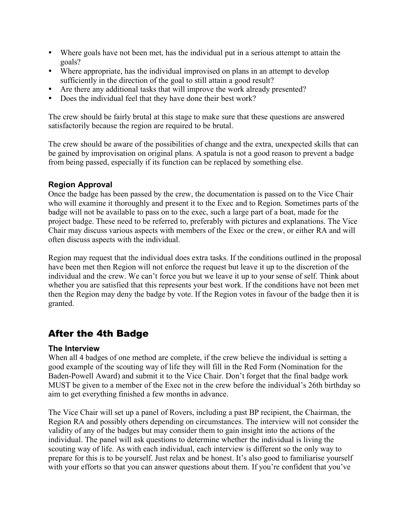- Where goals have not been met, has the individual put in a serious attempt to attain the goals?
- Where appropriate, has the individual improvised on plans in an attempt to develop sufficiently in the direction of the goal to still attain a good result?
- Are there any additional tasks that will improve the work already presented?
- Does the individual feel that they have done their best work?

The crew should be fairly brutal at this stage to make sure that these questions are answered satisfactorily because the region are required to be brutal.

The crew should be aware of the possibilities of change and the extra, unexpected skills that can be gained by improvisation on original plans. A spatula is not a good reason to prevent a badge from being passed, especially if its function can be replaced by something else.

#### **Region Approval**

Once the badge has been passed by the crew, the documentation is passed on to the Vice Chair who will examine it thoroughly and present it to the Exec and to Region. Sometimes parts of the badge will not be available to pass on to the exec, such a large part of a boat, made for the project badge. These need to be referred to, preferably with pictures and explanations. The Vice Chair may discuss various aspects with members of the Exec or the crew, or either RA and will often discuss aspects with the individual.

Region may request that the individual does extra tasks. If the conditions outlined in the proposal have been met then Region will not enforce the request but leave it up to the discretion of the individual and the crew. We can't force you but we leave it up to your sense of self. Think about whether you are satisfied that this represents your best work. If the conditions have not been met then the Region may deny the badge by vote. If the Region votes in favour of the badge then it is granted.

### After the 4th Badge

#### **The Interview**

When all 4 badges of one method are complete, if the crew believe the individual is setting a good example of the scouting way of life they will fill in the Red Form (Nomination for the Baden-Powell Award) and submit it to the Vice Chair. Don't forget that the final badge work MUST be given to a member of the Exec not in the crew before the individual's 26th birthday so aim to get everything finished a few months in advance.

The Vice Chair will set up a panel of Rovers, including a past BP recipient, the Chairman, the Region RA and possibly others depending on circumstances. The interview will not consider the validity of any of the badges but may consider them to gain insight into the actions of the individual. The panel will ask questions to determine whether the individual is living the scouting way of life. As with each individual, each interview is different so the only way to prepare for this is to be yourself. Just relax and be honest. It's also good to familiarise yourself with your efforts so that you can answer questions about them. If you're confident that you've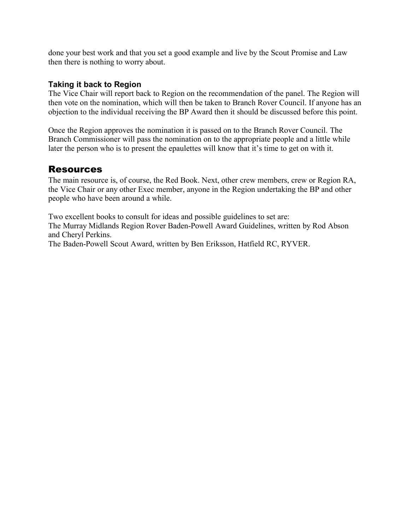done your best work and that you set a good example and live by the Scout Promise and Law then there is nothing to worry about.

#### **Taking it back to Region**

The Vice Chair will report back to Region on the recommendation of the panel. The Region will then vote on the nomination, which will then be taken to Branch Rover Council. If anyone has an objection to the individual receiving the BP Award then it should be discussed before this point.

Once the Region approves the nomination it is passed on to the Branch Rover Council. The Branch Commissioner will pass the nomination on to the appropriate people and a little while later the person who is to present the epaulettes will know that it's time to get on with it.

#### Resources

The main resource is, of course, the Red Book. Next, other crew members, crew or Region RA, the Vice Chair or any other Exec member, anyone in the Region undertaking the BP and other people who have been around a while.

Two excellent books to consult for ideas and possible guidelines to set are: The Murray Midlands Region Rover Baden-Powell Award Guidelines, written by Rod Abson and Cheryl Perkins.

The Baden-Powell Scout Award, written by Ben Eriksson, Hatfield RC, RYVER.